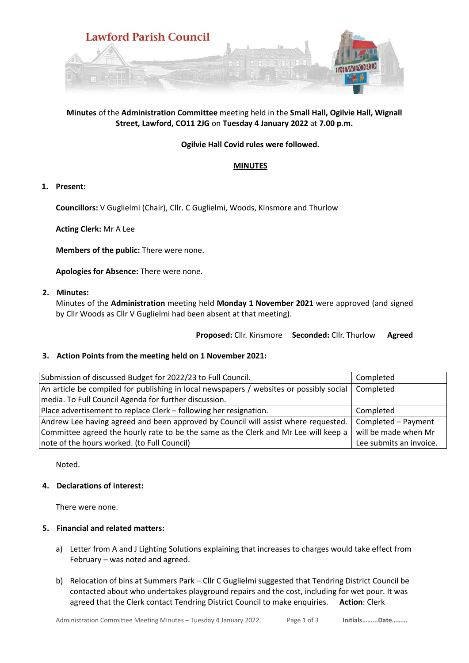

# **Minutes** of the **Administration Committee** meeting held in the **Small Hall, Ogilvie Hall, Wignall Street, Lawford, CO11 2JG** on **Tuesday 4 January 2022** at **7.00 p.m.**

# **Ogilvie Hall Covid rules were followed.**

### **MINUTES**

### **1. Present:**

**Councillors:** V Guglielmi (Chair), Cllr. C Guglielmi, Woods, Kinsmore and Thurlow

**Acting Clerk:** Mr A Lee

**Members of the public:** There were none.

**Apologies for Absence:** There were none.

#### **2. Minutes:**

Minutes of the **Administration** meeting held **Monday 1 November 2021** were approved (and signed by Cllr Woods as Cllr V Guglielmi had been absent at that meeting).

**Proposed:** Cllr. Kinsmore **Seconded:** Cllr. Thurlow **Agreed**

# **3. Action Points from the meeting held on 1 November 2021:**

| Submission of discussed Budget for 2022/23 to Full Council.                             | Completed               |
|-----------------------------------------------------------------------------------------|-------------------------|
| An article be compiled for publishing in local newspapers / websites or possibly social | Completed               |
| media. To Full Council Agenda for further discussion.                                   |                         |
| Place advertisement to replace Clerk – following her resignation.                       | Completed               |
| Andrew Lee having agreed and been approved by Council will assist where requested.      | Completed - Payment     |
| Committee agreed the hourly rate to be the same as the Clerk and Mr Lee will keep a     | will be made when Mr    |
| note of the hours worked. (to Full Council)                                             | Lee submits an invoice. |

Noted.

# **4. Declarations of interest:**

There were none.

#### **5. Financial and related matters:**

- a) Letter from A and J Lighting Solutions explaining that increases to charges would take effect from February – was noted and agreed.
- b) Relocation of bins at Summers Park Cllr C Guglielmi suggested that Tendring District Council be contacted about who undertakes playground repairs and the cost, including for wet pour. It was agreed that the Clerk contact Tendring District Council to make enquiries. **Action**: Clerk